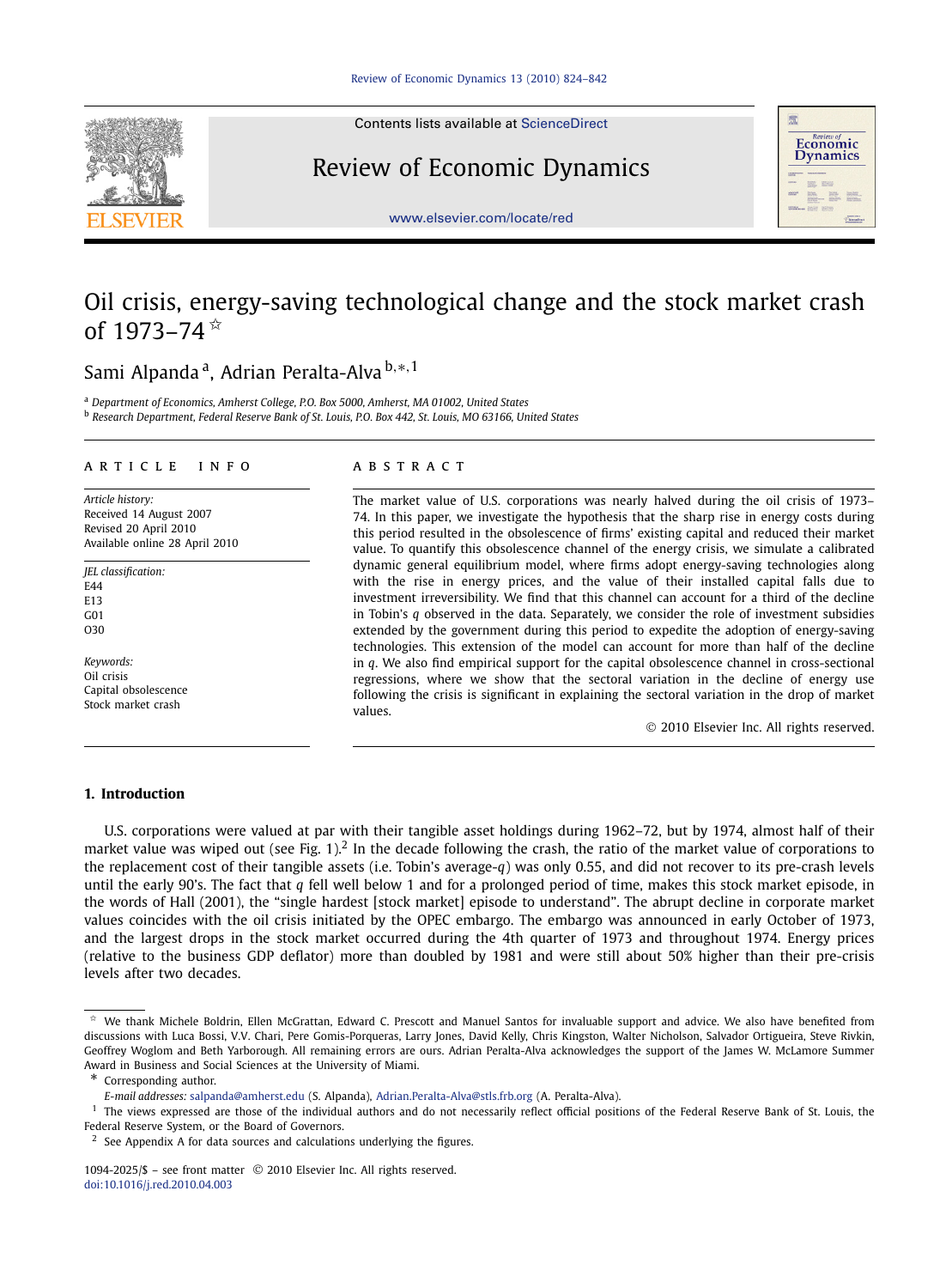

Contents lists available at [ScienceDirect](http://www.ScienceDirect.com/)

# Review of Economic Dynamics



[www.elsevier.com/locate/red](http://www.elsevier.com/locate/red)

# Oil crisis, energy-saving technological change and the stock market crash of  $1973 - 74$ <sup>\*</sup>

## Sami Alpanda a, Adrian Peralta-Alva <sup>b</sup>*,*∗*,*<sup>1</sup>

<sup>a</sup> *Department of Economics, Amherst College, P.O. Box 5000, Amherst, MA 01002, United States*

<sup>b</sup> *Research Department, Federal Reserve Bank of St. Louis, P.O. Box 442, St. Louis, MO 63166, United States*

#### article info abstract

*Article history:* Received 14 August 2007 Revised 20 April 2010 Available online 28 April 2010

*JEL classification:* E44 E13  $C<sub>01</sub>$ O30

*Keywords:* Oil crisis Capital obsolescence Stock market crash

The market value of U.S. corporations was nearly halved during the oil crisis of 1973– 74. In this paper, we investigate the hypothesis that the sharp rise in energy costs during this period resulted in the obsolescence of firms' existing capital and reduced their market value. To quantify this obsolescence channel of the energy crisis, we simulate a calibrated dynamic general equilibrium model, where firms adopt energy-saving technologies along with the rise in energy prices, and the value of their installed capital falls due to investment irreversibility. We find that this channel can account for a third of the decline in Tobin's *q* observed in the data. Separately, we consider the role of investment subsidies extended by the government during this period to expedite the adoption of energy-saving technologies. This extension of the model can account for more than half of the decline in *q*. We also find empirical support for the capital obsolescence channel in cross-sectional regressions, where we show that the sectoral variation in the decline of energy use following the crisis is significant in explaining the sectoral variation in the drop of market values.

© 2010 Elsevier Inc. All rights reserved.

### **1. Introduction**

U.S. corporations were valued at par with their tangible asset holdings during 1962–72, but by 1974, almost half of their market value was wiped out (see Fig. 1).<sup>2</sup> In the decade following the crash, the ratio of the market value of corporations to the replacement cost of their tangible assets (i.e. Tobin's average-*q*) was only 0.55, and did not recover to its pre-crash levels until the early 90's. The fact that *q* fell well below 1 and for a prolonged period of time, makes this stock market episode, in the words of Hall (2001), the "single hardest [stock market] episode to understand". The abrupt decline in corporate market values coincides with the oil crisis initiated by the OPEC embargo. The embargo was announced in early October of 1973, and the largest drops in the stock market occurred during the 4th quarter of 1973 and throughout 1974. Energy prices (relative to the business GDP deflator) more than doubled by 1981 and were still about 50% higher than their pre-crisis levels after two decades.

We thank Michele Boldrin, Ellen McGrattan, Edward C. Prescott and Manuel Santos for invaluable support and advice. We also have benefited from discussions with Luca Bossi, V.V. Chari, Pere Gomis-Porqueras, Larry Jones, David Kelly, Chris Kingston, Walter Nicholson, Salvador Ortigueira, Steve Rivkin, Geoffrey Woglom and Beth Yarborough. All remaining errors are ours. Adrian Peralta-Alva acknowledges the support of the James W. McLamore Summer Award in Business and Social Sciences at the University of Miami.

Corresponding author.

*E-mail addresses:* [salpanda@amherst.edu](mailto:salpanda@amherst.edu) (S. Alpanda), [Adrian.Peralta-Alva@stls.frb.org](mailto:Adrian.Peralta-Alva@stls.frb.org) (A. Peralta-Alva).

<sup>&</sup>lt;sup>1</sup> The views expressed are those of the individual authors and do not necessarily reflect official positions of the Federal Reserve Bank of St. Louis, the Federal Reserve System, or the Board of Governors.

 $2\,$  See Appendix A for data sources and calculations underlying the figures.

<sup>1094-2025/\$ –</sup> see front matter © 2010 Elsevier Inc. All rights reserved. [doi:10.1016/j.red.2010.04.003](http://dx.doi.org/10.1016/j.red.2010.04.003)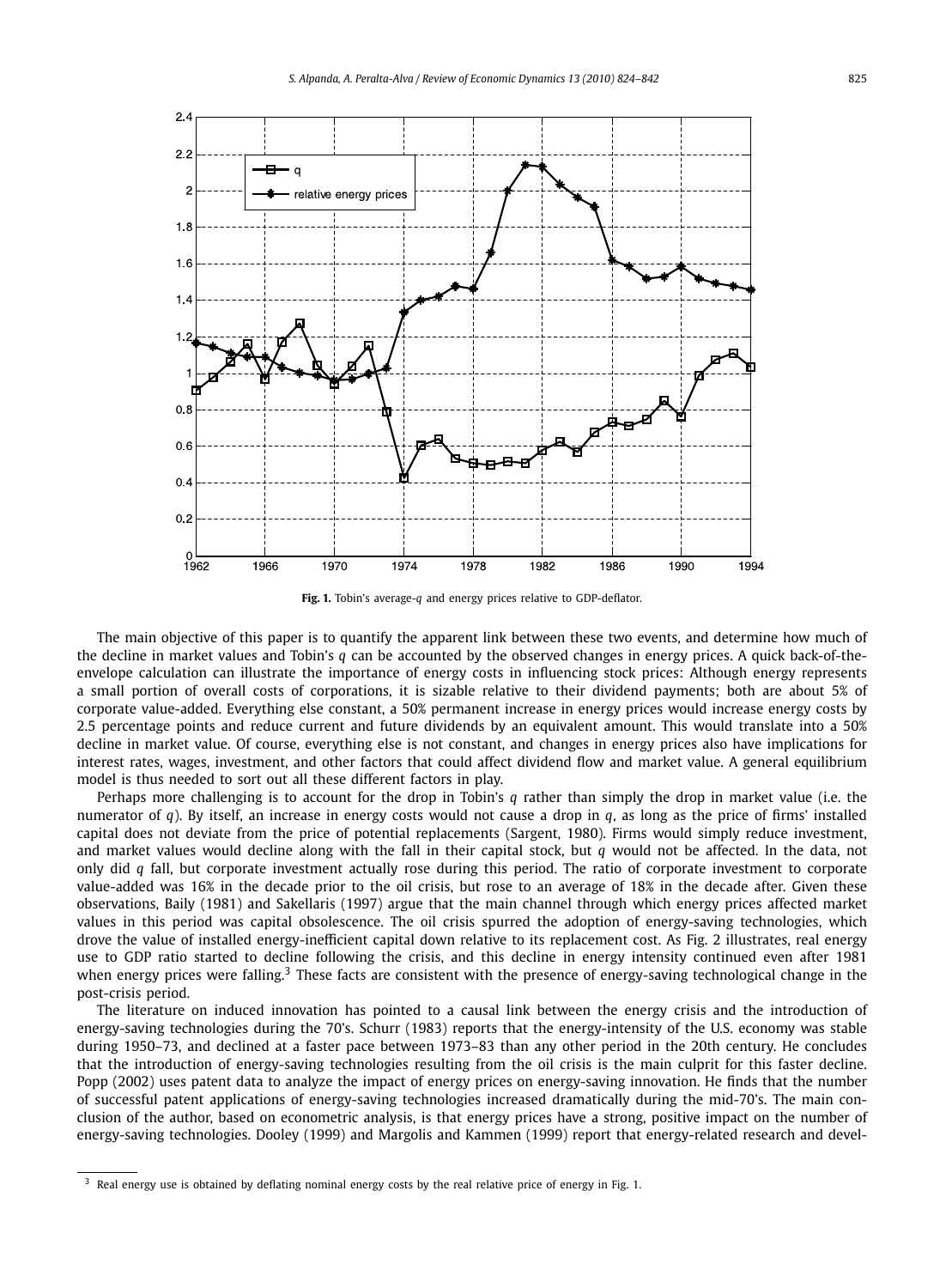

**Fig. 1.** Tobin's average-*q* and energy prices relative to GDP-deflator.

The main objective of this paper is to quantify the apparent link between these two events, and determine how much of the decline in market values and Tobin's *q* can be accounted by the observed changes in energy prices. A quick back-of-theenvelope calculation can illustrate the importance of energy costs in influencing stock prices: Although energy represents a small portion of overall costs of corporations, it is sizable relative to their dividend payments; both are about 5% of corporate value-added. Everything else constant, a 50% permanent increase in energy prices would increase energy costs by 2.5 percentage points and reduce current and future dividends by an equivalent amount. This would translate into a 50% decline in market value. Of course, everything else is not constant, and changes in energy prices also have implications for interest rates, wages, investment, and other factors that could affect dividend flow and market value. A general equilibrium model is thus needed to sort out all these different factors in play.

Perhaps more challenging is to account for the drop in Tobin's *q* rather than simply the drop in market value (i.e. the numerator of *q*). By itself, an increase in energy costs would not cause a drop in *q*, as long as the price of firms' installed capital does not deviate from the price of potential replacements (Sargent, 1980). Firms would simply reduce investment, and market values would decline along with the fall in their capital stock, but *q* would not be affected. In the data, not only did *q* fall, but corporate investment actually rose during this period. The ratio of corporate investment to corporate value-added was 16% in the decade prior to the oil crisis, but rose to an average of 18% in the decade after. Given these observations, Baily (1981) and Sakellaris (1997) argue that the main channel through which energy prices affected market values in this period was capital obsolescence. The oil crisis spurred the adoption of energy-saving technologies, which drove the value of installed energy-inefficient capital down relative to its replacement cost. As Fig. 2 illustrates, real energy use to GDP ratio started to decline following the crisis, and this decline in energy intensity continued even after 1981 when energy prices were falling.<sup>3</sup> These facts are consistent with the presence of energy-saving technological change in the post-crisis period.

The literature on induced innovation has pointed to a causal link between the energy crisis and the introduction of energy-saving technologies during the 70's. Schurr (1983) reports that the energy-intensity of the U.S. economy was stable during 1950–73, and declined at a faster pace between 1973–83 than any other period in the 20th century. He concludes that the introduction of energy-saving technologies resulting from the oil crisis is the main culprit for this faster decline. Popp (2002) uses patent data to analyze the impact of energy prices on energy-saving innovation. He finds that the number of successful patent applications of energy-saving technologies increased dramatically during the mid-70's. The main conclusion of the author, based on econometric analysis, is that energy prices have a strong, positive impact on the number of energy-saving technologies. Dooley (1999) and Margolis and Kammen (1999) report that energy-related research and devel-

<sup>&</sup>lt;sup>3</sup> Real energy use is obtained by deflating nominal energy costs by the real relative price of energy in Fig. 1.